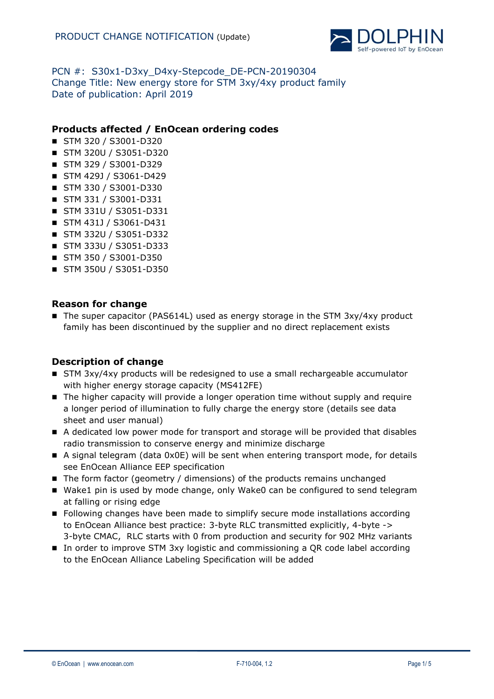

# PCN #: S30x1-D3xy D4xy-Stepcode DE-PCN-20190304 Change Title: New energy store for STM 3xy/4xy product family Date of publication: April 2019

## **Products affected / EnOcean ordering codes**

- STM 320 / S3001-D320
- STM 320U / S3051-D320
- STM 329 / S3001-D329
- STM 429J / S3061-D429
- STM 330 / S3001-D330
- STM 331 / S3001-D331
- STM 331U / S3051-D331
- STM 431J / S3061-D431
- STM 332U / S3051-D332
- STM 333U / S3051-D333
- STM 350 / S3001-D350
- STM 350U / S3051-D350

### **Reason for change**

The super capacitor (PAS614L) used as energy storage in the STM  $3xy/4xy$  product family has been discontinued by the supplier and no direct replacement exists

### **Description of change**

- STM 3xy/4xy products will be redesigned to use a small rechargeable accumulator with higher energy storage capacity (MS412FE)
- The higher capacity will provide a longer operation time without supply and require a longer period of illumination to fully charge the energy store (details see data sheet and user manual)
- A dedicated low power mode for transport and storage will be provided that disables radio transmission to conserve energy and minimize discharge
- A signal telegram (data 0x0E) will be sent when entering transport mode, for details see EnOcean Alliance EEP specification
- $\blacksquare$  The form factor (geometry / dimensions) of the products remains unchanged
- Wake1 pin is used by mode change, only Wake0 can be configured to send telegram at falling or rising edge
- **Fillowing changes have been made to simplify secure mode installations according** to EnOcean Alliance best practice: 3-byte RLC transmitted explicitly, 4-byte -> 3-byte CMAC, RLC starts with 0 from production and security for 902 MHz variants
- In order to improve STM 3xy logistic and commissioning a QR code label according to the EnOcean Alliance Labeling Specification will be added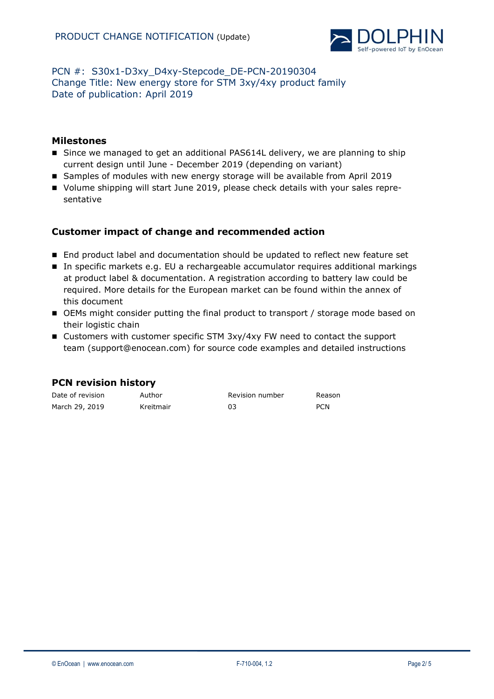

# PCN #: S30x1-D3xy D4xy-Stepcode DE-PCN-20190304 Change Title: New energy store for STM 3xy/4xy product family Date of publication: April 2019

## **Milestones**

- Since we managed to get an additional PAS614L delivery, we are planning to ship current design until June - December 2019 (depending on variant)
- Samples of modules with new energy storage will be available from April 2019
- Volume shipping will start June 2019, please check details with your sales representative

# **Customer impact of change and recommended action**

- End product label and documentation should be updated to reflect new feature set
- In specific markets e.g. EU a rechargeable accumulator requires additional markings at product label & documentation. A registration according to battery law could be required. More details for the European market can be found within the annex of this document
- OEMs might consider putting the final product to transport / storage mode based on their logistic chain
- Customers with customer specific STM 3xy/4xy FW need to contact the support team [\(support@enocean.com\)](mailto:support@enocean.com) for source code examples and detailed instructions

|  | <b>PCN revision history</b> |  |
|--|-----------------------------|--|
|--|-----------------------------|--|

| Date of revision | Author    | Revision number | Reason     |
|------------------|-----------|-----------------|------------|
| March 29, 2019   | Kreitmair |                 | <b>PCN</b> |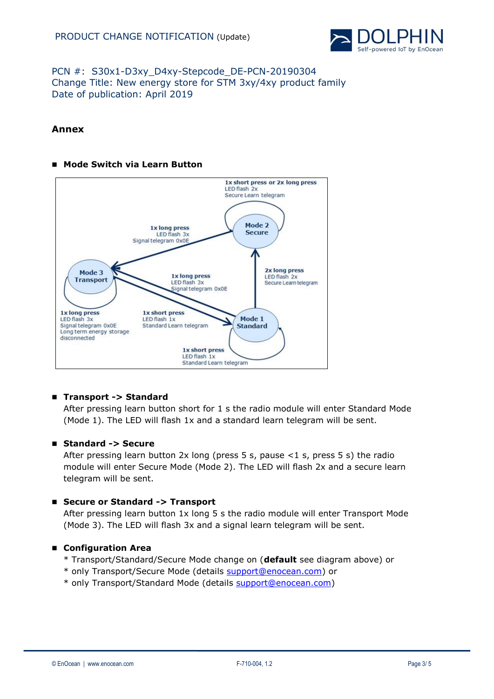

# PCN #: S30x1-D3xy\_D4xy-Stepcode\_DE-PCN-20190304 Change Title: New energy store for STM 3xy/4xy product family Date of publication: April 2019

## **Annex**

#### **Mode Switch via Learn Button**



### **Transport -> Standard**

After pressing learn button short for 1 s the radio module will enter Standard Mode (Mode 1). The LED will flash 1x and a standard learn telegram will be sent.

#### **Standard -> Secure**

After pressing learn button 2x long (press 5 s, pause <1 s, press 5 s) the radio module will enter Secure Mode (Mode 2). The LED will flash 2x and a secure learn telegram will be sent.

### **Secure or Standard -> Transport**

After pressing learn button 1x long 5 s the radio module will enter Transport Mode (Mode 3). The LED will flash 3x and a signal learn telegram will be sent.

#### **Configuration Area**

- \* Transport/Standard/Secure Mode change on (**default** see diagram above) or
- \* only Transport/Secure Mode (details [support@enocean.com\)](mailto:support@enocean.com) or
- \* only Transport/Standard Mode (details [support@enocean.com\)](mailto:support@enocean.com)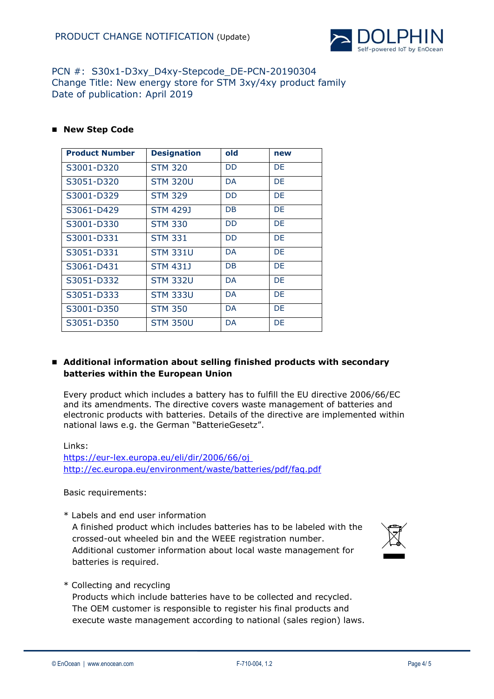

## PCN #: S30x1-D3xy D4xy-Stepcode DE-PCN-20190304 Change Title: New energy store for STM 3xy/4xy product family Date of publication: April 2019

#### **New Step Code**

| <b>Product Number</b> | <b>Designation</b> | old       | new       |
|-----------------------|--------------------|-----------|-----------|
| S3001-D320            | <b>STM 320</b>     | <b>DD</b> | DE.       |
| S3051-D320            | <b>STM 320U</b>    | DA        | DE        |
| S3001-D329            | <b>STM 329</b>     | <b>DD</b> | <b>DE</b> |
| S3061-D429            | STM 429J           | DB        | DE        |
| S3001-D330            | <b>STM 330</b>     | <b>DD</b> | DE        |
| S3001-D331            | <b>STM 331</b>     | <b>DD</b> | DE        |
| S3051-D331            | <b>STM 331U</b>    | DA        | DE        |
| S3061-D431            | <b>STM 431J</b>    | <b>DB</b> | <b>DE</b> |
| S3051-D332            | <b>STM 332U</b>    | DA.       | DE        |
| S3051-D333            | <b>STM 333U</b>    | DA.       | DE        |
| S3001-D350            | <b>STM 350</b>     | DA.       | DE        |
| S3051-D350            | <b>STM 350U</b>    | DA        | DE        |

#### **Additional information about selling finished products with secondary batteries within the European Union**

Every product which includes a battery has to fulfill the EU directive 2006/66/EC and its amendments. The directive covers waste management of batteries and electronic products with batteries. Details of the directive are implemented within national laws e.g. the German "BatterieGesetz".

Links: <https://eur-lex.europa.eu/eli/dir/2006/66/oj> <http://ec.europa.eu/environment/waste/batteries/pdf/faq.pdf>

Basic requirements:

\* Labels and end user information A finished product which includes batteries has to be labeled with the

crossed-out wheeled bin and the WEEE registration number. Additional customer information about local waste management for batteries is required.



\* Collecting and recycling

 Products which include batteries have to be collected and recycled. The OEM customer is responsible to register his final products and execute waste management according to national (sales region) laws.